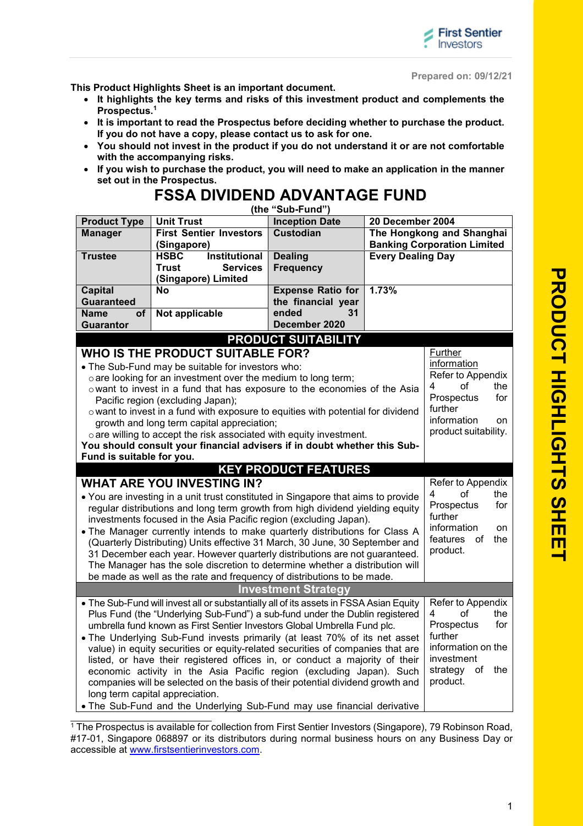

**Prepared on: 09/12/21**

**This Product Highlights Sheet is an important document.**

- **It highlights the key terms and risks of this investment product and complements the Prospectus.<sup>1</sup>**
- **It is important to read the Prospectus before deciding whether to purchase the product. If you do not have a copy, please contact us to ask for one.**
- **You should not invest in the product if you do not understand it or are not comfortable with the accompanying risks.**
- **If you wish to purchase the product, you will need to make an application in the manner set out in the Prospectus.**

## **FSSA DIVIDEND ADVANTAGE FUND (the "Sub-Fund")**

| <b>Product Type</b>                                                                                                                                                | <b>Unit Trust</b>                                                                                                                                                      | <b>Inception Date</b>       | 20 December 2004          |                                    |
|--------------------------------------------------------------------------------------------------------------------------------------------------------------------|------------------------------------------------------------------------------------------------------------------------------------------------------------------------|-----------------------------|---------------------------|------------------------------------|
| <b>Manager</b>                                                                                                                                                     | <b>First Sentier Investors</b>                                                                                                                                         | <b>Custodian</b>            | The Hongkong and Shanghai |                                    |
|                                                                                                                                                                    | (Singapore)                                                                                                                                                            |                             |                           | <b>Banking Corporation Limited</b> |
| <b>Trustee</b>                                                                                                                                                     | <b>Institutional</b><br><b>HSBC</b>                                                                                                                                    | <b>Dealing</b>              | <b>Every Dealing Day</b>  |                                    |
|                                                                                                                                                                    | Trust<br><b>Services</b><br>(Singapore) Limited                                                                                                                        | <b>Frequency</b>            |                           |                                    |
| <b>Capital</b>                                                                                                                                                     | <b>No</b>                                                                                                                                                              | <b>Expense Ratio for</b>    | 1.73%                     |                                    |
| <b>Guaranteed</b>                                                                                                                                                  |                                                                                                                                                                        | the financial year          |                           |                                    |
| <b>Name</b><br>of                                                                                                                                                  | Not applicable                                                                                                                                                         | ended<br>31                 |                           |                                    |
| Guarantor                                                                                                                                                          |                                                                                                                                                                        | December 2020               |                           |                                    |
|                                                                                                                                                                    |                                                                                                                                                                        | <b>PRODUCT SUITABILITY</b>  |                           |                                    |
|                                                                                                                                                                    | WHO IS THE PRODUCT SUITABLE FOR?                                                                                                                                       |                             |                           | Further                            |
|                                                                                                                                                                    | . The Sub-Fund may be suitable for investors who:                                                                                                                      |                             |                           | information                        |
|                                                                                                                                                                    | o are looking for an investment over the medium to long term;                                                                                                          |                             |                           | Refer to Appendix                  |
| o want to invest in a fund that has exposure to the economies of the Asia                                                                                          |                                                                                                                                                                        | 4<br>οf<br>the              |                           |                                    |
| Pacific region (excluding Japan);                                                                                                                                  |                                                                                                                                                                        |                             |                           | Prospectus<br>for<br>further       |
| o want to invest in a fund with exposure to equities with potential for dividend                                                                                   | information<br>on                                                                                                                                                      |                             |                           |                                    |
| growth and long term capital appreciation;                                                                                                                         | product suitability.                                                                                                                                                   |                             |                           |                                    |
|                                                                                                                                                                    | o are willing to accept the risk associated with equity investment.<br>You should consult your financial advisers if in doubt whether this Sub-                        |                             |                           |                                    |
| Fund is suitable for you.                                                                                                                                          |                                                                                                                                                                        |                             |                           |                                    |
|                                                                                                                                                                    |                                                                                                                                                                        | <b>KEY PRODUCT FEATURES</b> |                           |                                    |
|                                                                                                                                                                    | <b>WHAT ARE YOU INVESTING IN?</b>                                                                                                                                      |                             |                           | Refer to Appendix                  |
|                                                                                                                                                                    |                                                                                                                                                                        |                             |                           | 4<br>οf<br>the                     |
| • You are investing in a unit trust constituted in Singapore that aims to provide<br>regular distributions and long term growth from high dividend yielding equity |                                                                                                                                                                        |                             |                           | for<br>Prospectus                  |
| investments focused in the Asia Pacific region (excluding Japan).                                                                                                  |                                                                                                                                                                        |                             |                           | further                            |
|                                                                                                                                                                    | . The Manager currently intends to make quarterly distributions for Class A                                                                                            |                             |                           | information<br>on                  |
|                                                                                                                                                                    | (Quarterly Distributing) Units effective 31 March, 30 June, 30 September and                                                                                           |                             |                           | features<br>of<br>the              |
| 31 December each year. However quarterly distributions are not guaranteed.                                                                                         |                                                                                                                                                                        |                             |                           | product.                           |
| The Manager has the sole discretion to determine whether a distribution will                                                                                       |                                                                                                                                                                        |                             |                           |                                    |
|                                                                                                                                                                    | be made as well as the rate and frequency of distributions to be made.                                                                                                 |                             |                           |                                    |
|                                                                                                                                                                    |                                                                                                                                                                        | <b>Investment Strategy</b>  |                           |                                    |
|                                                                                                                                                                    | . The Sub-Fund will invest all or substantially all of its assets in FSSA Asian Equity<br>Plus Fund (the "Underlying Sub-Fund") a sub-fund under the Dublin registered |                             |                           | Refer to Appendix                  |
|                                                                                                                                                                    | οf<br>the<br>4<br>for                                                                                                                                                  |                             |                           |                                    |
|                                                                                                                                                                    | umbrella fund known as First Sentier Investors Global Umbrella Fund plc.<br>• The Underlying Sub-Fund invests primarily (at least 70% of its net asset                 |                             |                           | Prospectus<br>further              |
|                                                                                                                                                                    | information on the                                                                                                                                                     |                             |                           |                                    |
|                                                                                                                                                                    | value) in equity securities or equity-related securities of companies that are<br>listed, or have their registered offices in, or conduct a majority of their          |                             |                           | investment                         |
|                                                                                                                                                                    | economic activity in the Asia Pacific region (excluding Japan). Such                                                                                                   |                             |                           | strategy<br>of the                 |
|                                                                                                                                                                    | companies will be selected on the basis of their potential dividend growth and                                                                                         |                             |                           | product.                           |
|                                                                                                                                                                    | long term capital appreciation.                                                                                                                                        |                             |                           |                                    |
|                                                                                                                                                                    | • The Sub-Fund and the Underlying Sub-Fund may use financial derivative                                                                                                |                             |                           |                                    |
|                                                                                                                                                                    |                                                                                                                                                                        |                             |                           |                                    |

<sup>1</sup> The Prospectus is available for collection from First Sentier Investors (Singapore), 79 Robinson Road, #17-01, Singapore 068897 or its distributors during normal business hours on any Business Day or accessible at www.firstsentierinvestors.com.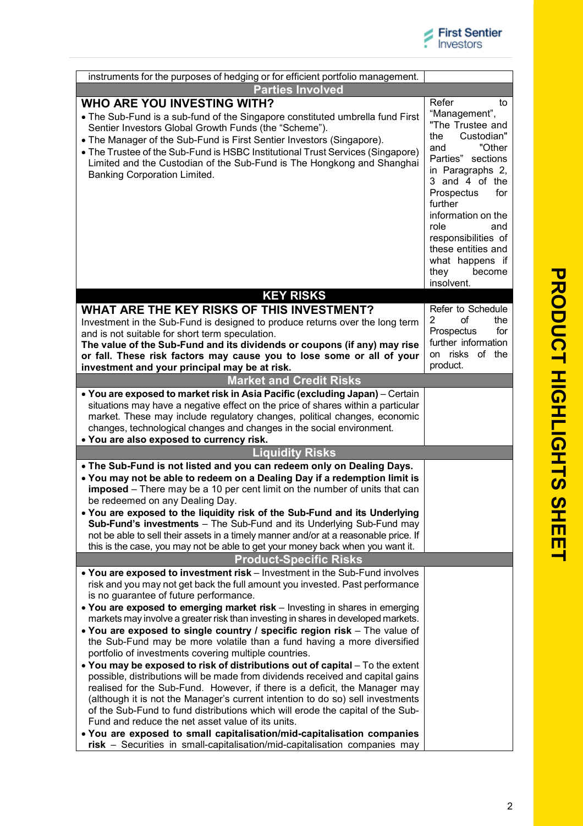| instruments for the purposes of hedging or for efficient portfolio management.                                                                                                                                                                                                                                                                                                                                                                                                                                                                                                                                                                                                                                                                                                                                                                                                                                                                                                                                                                                                                                                                                                                                             |                                                                                                                                                                                                                                                                                                                        |  |  |  |  |
|----------------------------------------------------------------------------------------------------------------------------------------------------------------------------------------------------------------------------------------------------------------------------------------------------------------------------------------------------------------------------------------------------------------------------------------------------------------------------------------------------------------------------------------------------------------------------------------------------------------------------------------------------------------------------------------------------------------------------------------------------------------------------------------------------------------------------------------------------------------------------------------------------------------------------------------------------------------------------------------------------------------------------------------------------------------------------------------------------------------------------------------------------------------------------------------------------------------------------|------------------------------------------------------------------------------------------------------------------------------------------------------------------------------------------------------------------------------------------------------------------------------------------------------------------------|--|--|--|--|
| <b>Parties Involved</b>                                                                                                                                                                                                                                                                                                                                                                                                                                                                                                                                                                                                                                                                                                                                                                                                                                                                                                                                                                                                                                                                                                                                                                                                    |                                                                                                                                                                                                                                                                                                                        |  |  |  |  |
| <b>WHO ARE YOU INVESTING WITH?</b><br>• The Sub-Fund is a sub-fund of the Singapore constituted umbrella fund First<br>Sentier Investors Global Growth Funds (the "Scheme").<br>• The Manager of the Sub-Fund is First Sentier Investors (Singapore).<br>• The Trustee of the Sub-Fund is HSBC Institutional Trust Services (Singapore)<br>Limited and the Custodian of the Sub-Fund is The Hongkong and Shanghai<br>Banking Corporation Limited.                                                                                                                                                                                                                                                                                                                                                                                                                                                                                                                                                                                                                                                                                                                                                                          | Refer<br>to<br>"Management",<br>"The Trustee and<br>Custodian"<br>the<br>"Other<br>and<br>Parties" sections<br>in Paragraphs 2,<br>3 and 4 of the<br>Prospectus<br>for<br>further<br>information on the<br>role<br>and<br>responsibilities of<br>these entities and<br>what happens if<br>become<br>they<br>insolvent. |  |  |  |  |
| <b>KEY RISKS</b>                                                                                                                                                                                                                                                                                                                                                                                                                                                                                                                                                                                                                                                                                                                                                                                                                                                                                                                                                                                                                                                                                                                                                                                                           |                                                                                                                                                                                                                                                                                                                        |  |  |  |  |
| WHAT ARE THE KEY RISKS OF THIS INVESTMENT?<br>Investment in the Sub-Fund is designed to produce returns over the long term<br>and is not suitable for short term speculation.<br>The value of the Sub-Fund and its dividends or coupons (if any) may rise<br>or fall. These risk factors may cause you to lose some or all of your<br>investment and your principal may be at risk.                                                                                                                                                                                                                                                                                                                                                                                                                                                                                                                                                                                                                                                                                                                                                                                                                                        | Refer to Schedule<br>of<br>2<br>the<br>for<br>Prospectus<br>further information<br>on risks of the<br>product.                                                                                                                                                                                                         |  |  |  |  |
| <b>Market and Credit Risks</b>                                                                                                                                                                                                                                                                                                                                                                                                                                                                                                                                                                                                                                                                                                                                                                                                                                                                                                                                                                                                                                                                                                                                                                                             |                                                                                                                                                                                                                                                                                                                        |  |  |  |  |
| situations may have a negative effect on the price of shares within a particular<br>market. These may include regulatory changes, political changes, economic<br>changes, technological changes and changes in the social environment.<br>. You are also exposed to currency risk.                                                                                                                                                                                                                                                                                                                                                                                                                                                                                                                                                                                                                                                                                                                                                                                                                                                                                                                                         |                                                                                                                                                                                                                                                                                                                        |  |  |  |  |
| <b>Liquidity Risks</b>                                                                                                                                                                                                                                                                                                                                                                                                                                                                                                                                                                                                                                                                                                                                                                                                                                                                                                                                                                                                                                                                                                                                                                                                     |                                                                                                                                                                                                                                                                                                                        |  |  |  |  |
| . The Sub-Fund is not listed and you can redeem only on Dealing Days.<br>. You may not be able to redeem on a Dealing Day if a redemption limit is<br>imposed – There may be a 10 per cent limit on the number of units that can<br>be redeemed on any Dealing Day.<br>. You are exposed to the liquidity risk of the Sub-Fund and its Underlying<br>Sub-Fund's investments - The Sub-Fund and its Underlying Sub-Fund may<br>not be able to sell their assets in a timely manner and/or at a reasonable price. If<br>this is the case, you may not be able to get your money back when you want it.<br><b>Product-Specific Risks</b>                                                                                                                                                                                                                                                                                                                                                                                                                                                                                                                                                                                      |                                                                                                                                                                                                                                                                                                                        |  |  |  |  |
| . You are exposed to investment risk - Investment in the Sub-Fund involves<br>risk and you may not get back the full amount you invested. Past performance<br>is no guarantee of future performance.<br>. You are exposed to emerging market risk - Investing in shares in emerging<br>markets may involve a greater risk than investing in shares in developed markets.<br>• You are exposed to single country / specific region risk - The value of<br>the Sub-Fund may be more volatile than a fund having a more diversified<br>portfolio of investments covering multiple countries.<br>. You may be exposed to risk of distributions out of capital - To the extent<br>possible, distributions will be made from dividends received and capital gains<br>realised for the Sub-Fund. However, if there is a deficit, the Manager may<br>(although it is not the Manager's current intention to do so) sell investments<br>of the Sub-Fund to fund distributions which will erode the capital of the Sub-<br>Fund and reduce the net asset value of its units.<br>. You are exposed to small capitalisation/mid-capitalisation companies<br>risk - Securities in small-capitalisation/mid-capitalisation companies may |                                                                                                                                                                                                                                                                                                                        |  |  |  |  |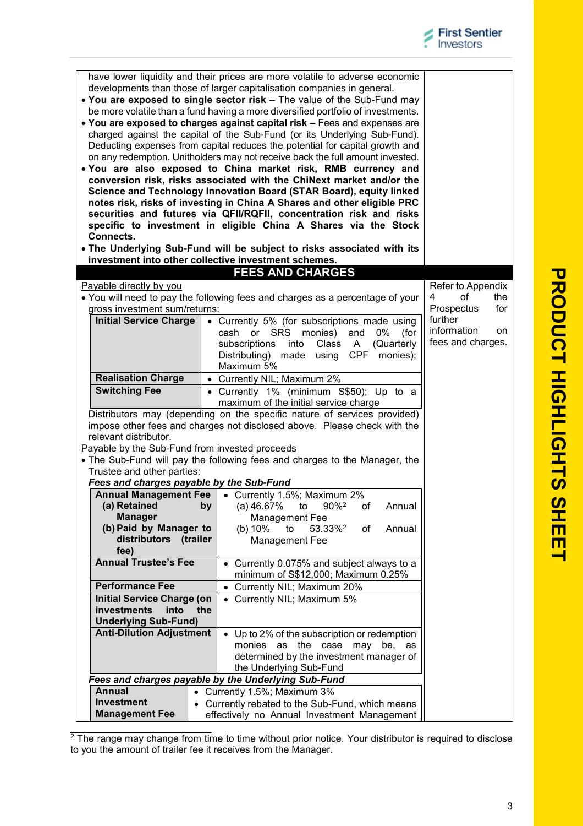| Connects.                                                                     | be more volatile than a fund having a more diversified portfolio of investments.<br>. You are exposed to charges against capital risk - Fees and expenses are<br>charged against the capital of the Sub-Fund (or its Underlying Sub-Fund).<br>Deducting expenses from capital reduces the potential for capital growth and<br>on any redemption. Unitholders may not receive back the full amount invested.<br>. You are also exposed to China market risk, RMB currency and<br>conversion risk, risks associated with the ChiNext market and/or the<br>Science and Technology Innovation Board (STAR Board), equity linked<br>notes risk, risks of investing in China A Shares and other eligible PRC<br>securities and futures via QFII/RQFII, concentration risk and risks<br>specific to investment in eligible China A Shares via the Stock<br>. The Underlying Sub-Fund will be subject to risks associated with its<br>investment into other collective investment schemes. |                              |  |  |
|-------------------------------------------------------------------------------|------------------------------------------------------------------------------------------------------------------------------------------------------------------------------------------------------------------------------------------------------------------------------------------------------------------------------------------------------------------------------------------------------------------------------------------------------------------------------------------------------------------------------------------------------------------------------------------------------------------------------------------------------------------------------------------------------------------------------------------------------------------------------------------------------------------------------------------------------------------------------------------------------------------------------------------------------------------------------------|------------------------------|--|--|
|                                                                               | <b>FEES AND CHARGES</b>                                                                                                                                                                                                                                                                                                                                                                                                                                                                                                                                                                                                                                                                                                                                                                                                                                                                                                                                                            |                              |  |  |
| Payable directly by you                                                       |                                                                                                                                                                                                                                                                                                                                                                                                                                                                                                                                                                                                                                                                                                                                                                                                                                                                                                                                                                                    | Refer to Appendix            |  |  |
| • You will need to pay the following fees and charges as a percentage of your | 4<br>οf<br>the                                                                                                                                                                                                                                                                                                                                                                                                                                                                                                                                                                                                                                                                                                                                                                                                                                                                                                                                                                     |                              |  |  |
| gross investment sum/returns:                                                 |                                                                                                                                                                                                                                                                                                                                                                                                                                                                                                                                                                                                                                                                                                                                                                                                                                                                                                                                                                                    | Prospectus<br>for<br>further |  |  |
| <b>Initial Service Charge</b>                                                 | • Currently 5% (for subscriptions made using<br>or SRS<br>monies)<br>and<br>0%<br>cash<br>(for                                                                                                                                                                                                                                                                                                                                                                                                                                                                                                                                                                                                                                                                                                                                                                                                                                                                                     | information<br>on            |  |  |
|                                                                               | subscriptions<br>into<br>Class<br>$\mathsf{A}$<br>(Quarterly                                                                                                                                                                                                                                                                                                                                                                                                                                                                                                                                                                                                                                                                                                                                                                                                                                                                                                                       | fees and charges.            |  |  |
|                                                                               | <b>CPF</b><br>Distributing) made using<br>monies);                                                                                                                                                                                                                                                                                                                                                                                                                                                                                                                                                                                                                                                                                                                                                                                                                                                                                                                                 |                              |  |  |
|                                                                               | Maximum 5%                                                                                                                                                                                                                                                                                                                                                                                                                                                                                                                                                                                                                                                                                                                                                                                                                                                                                                                                                                         |                              |  |  |
| <b>Realisation Charge</b>                                                     | • Currently NIL; Maximum 2%                                                                                                                                                                                                                                                                                                                                                                                                                                                                                                                                                                                                                                                                                                                                                                                                                                                                                                                                                        |                              |  |  |
| <b>Switching Fee</b>                                                          | • Currently 1% (minimum S\$50); Up to a<br>maximum of the initial service charge                                                                                                                                                                                                                                                                                                                                                                                                                                                                                                                                                                                                                                                                                                                                                                                                                                                                                                   |                              |  |  |
| relevant distributor.<br>Payable by the Sub-Fund from invested proceeds       | impose other fees and charges not disclosed above. Please check with the<br>• The Sub-Fund will pay the following fees and charges to the Manager, the                                                                                                                                                                                                                                                                                                                                                                                                                                                                                                                                                                                                                                                                                                                                                                                                                             |                              |  |  |
| Trustee and other parties:                                                    |                                                                                                                                                                                                                                                                                                                                                                                                                                                                                                                                                                                                                                                                                                                                                                                                                                                                                                                                                                                    |                              |  |  |
| Fees and charges payable by the Sub-Fund<br><b>Annual Management Fee</b>      | • Currently 1.5%; Maximum 2%                                                                                                                                                                                                                                                                                                                                                                                                                                                                                                                                                                                                                                                                                                                                                                                                                                                                                                                                                       |                              |  |  |
| (a) Retained<br>by                                                            | $(a)$ 46.67%<br>to<br>90% <sup>2</sup><br>Annual<br>of                                                                                                                                                                                                                                                                                                                                                                                                                                                                                                                                                                                                                                                                                                                                                                                                                                                                                                                             |                              |  |  |
| <b>Manager</b>                                                                | Management Fee                                                                                                                                                                                                                                                                                                                                                                                                                                                                                                                                                                                                                                                                                                                                                                                                                                                                                                                                                                     |                              |  |  |
| (b) Paid by Manager to                                                        | (b) $10\%$<br>to<br>53.33% <sup>2</sup><br>of<br>Annual                                                                                                                                                                                                                                                                                                                                                                                                                                                                                                                                                                                                                                                                                                                                                                                                                                                                                                                            |                              |  |  |
| distributors (trailer                                                         | Management Fee                                                                                                                                                                                                                                                                                                                                                                                                                                                                                                                                                                                                                                                                                                                                                                                                                                                                                                                                                                     |                              |  |  |
| fee)<br><b>Annual Trustee's Fee</b>                                           | • Currently 0.075% and subject always to a                                                                                                                                                                                                                                                                                                                                                                                                                                                                                                                                                                                                                                                                                                                                                                                                                                                                                                                                         |                              |  |  |
|                                                                               | minimum of S\$12,000; Maximum 0.25%                                                                                                                                                                                                                                                                                                                                                                                                                                                                                                                                                                                                                                                                                                                                                                                                                                                                                                                                                |                              |  |  |
| <b>Performance Fee</b>                                                        | • Currently NIL; Maximum 20%                                                                                                                                                                                                                                                                                                                                                                                                                                                                                                                                                                                                                                                                                                                                                                                                                                                                                                                                                       |                              |  |  |
| <b>Initial Service Charge (on</b>                                             | • Currently NIL; Maximum 5%                                                                                                                                                                                                                                                                                                                                                                                                                                                                                                                                                                                                                                                                                                                                                                                                                                                                                                                                                        |                              |  |  |
| investments<br>into<br>the                                                    |                                                                                                                                                                                                                                                                                                                                                                                                                                                                                                                                                                                                                                                                                                                                                                                                                                                                                                                                                                                    |                              |  |  |
| <b>Underlying Sub-Fund)</b>                                                   |                                                                                                                                                                                                                                                                                                                                                                                                                                                                                                                                                                                                                                                                                                                                                                                                                                                                                                                                                                                    |                              |  |  |
| <b>Anti-Dilution Adjustment</b>                                               | • Up to 2% of the subscription or redemption<br>as the<br>monies<br>case<br>may<br>be,<br>as                                                                                                                                                                                                                                                                                                                                                                                                                                                                                                                                                                                                                                                                                                                                                                                                                                                                                       |                              |  |  |
|                                                                               | determined by the investment manager of                                                                                                                                                                                                                                                                                                                                                                                                                                                                                                                                                                                                                                                                                                                                                                                                                                                                                                                                            |                              |  |  |
|                                                                               | the Underlying Sub-Fund                                                                                                                                                                                                                                                                                                                                                                                                                                                                                                                                                                                                                                                                                                                                                                                                                                                                                                                                                            |                              |  |  |
|                                                                               | Fees and charges payable by the Underlying Sub-Fund                                                                                                                                                                                                                                                                                                                                                                                                                                                                                                                                                                                                                                                                                                                                                                                                                                                                                                                                |                              |  |  |
| <b>Annual</b><br>• Currently 1.5%; Maximum 3%                                 |                                                                                                                                                                                                                                                                                                                                                                                                                                                                                                                                                                                                                                                                                                                                                                                                                                                                                                                                                                                    |                              |  |  |
| <b>Investment</b><br>• Currently rebated to the Sub-Fund, which means         |                                                                                                                                                                                                                                                                                                                                                                                                                                                                                                                                                                                                                                                                                                                                                                                                                                                                                                                                                                                    |                              |  |  |
| <b>Management Fee</b>                                                         | effectively no Annual Investment Management                                                                                                                                                                                                                                                                                                                                                                                                                                                                                                                                                                                                                                                                                                                                                                                                                                                                                                                                        |                              |  |  |

have lower liquidity and their prices are more volatile to adverse economic developments than those of larger capitalisation companies in general. **You are exposed to single sector risk** – The value of the Sub-Fund may

> エ<br>G **H LIG H T** <u>က</u> <u>က</u> **H E E T**

**P R O D U C T**

 $2$  The range may change from time to time without prior notice. Your distributor is required to disclose to you the amount of trailer fee it receives from the Manager.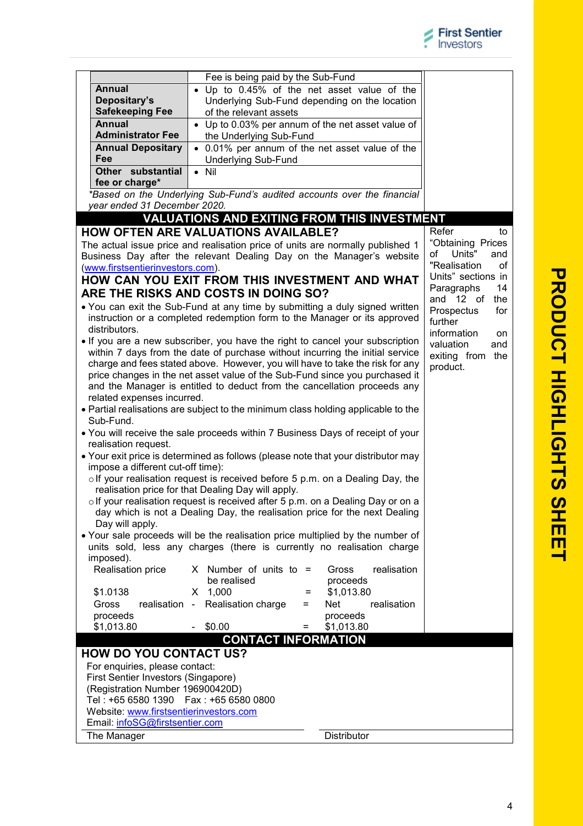|                                                                            | Fee is being paid by the Sub-Fund                                                     |                                               |                               |
|----------------------------------------------------------------------------|---------------------------------------------------------------------------------------|-----------------------------------------------|-------------------------------|
| Annual                                                                     | . Up to 0.45% of the net asset value of the                                           |                                               |                               |
| Depositary's                                                               |                                                                                       | Underlying Sub-Fund depending on the location |                               |
| <b>Safekeeping Fee</b>                                                     | of the relevant assets                                                                |                                               |                               |
| <b>Annual</b>                                                              | • Up to 0.03% per annum of the net asset value of                                     |                                               |                               |
| <b>Administrator Fee</b>                                                   | the Underlying Sub-Fund                                                               |                                               |                               |
| <b>Annual Depositary</b>                                                   | • 0.01% per annum of the net asset value of the                                       |                                               |                               |
| Fee                                                                        | <b>Underlying Sub-Fund</b>                                                            |                                               |                               |
| Other substantial                                                          | $\bullet$ Nil                                                                         |                                               |                               |
| fee or charge*                                                             |                                                                                       |                                               |                               |
|                                                                            | *Based on the Underlying Sub-Fund's audited accounts over the financial               |                                               |                               |
| vear ended 31 December 2020.                                               |                                                                                       |                                               |                               |
|                                                                            | <b>VALUATIONS AND EXITING FROM THIS INVESTMENT</b>                                    |                                               |                               |
|                                                                            | <b>HOW OFTEN ARE VALUATIONS AVAILABLE?</b>                                            |                                               | Refer<br>to                   |
|                                                                            | The actual issue price and realisation price of units are normally published 1        |                                               | "Obtaining Prices             |
|                                                                            | Business Day after the relevant Dealing Day on the Manager's website                  |                                               | Units"<br>of<br>and           |
| (www.firstsentierinvestors.com).                                           |                                                                                       |                                               | "Realisation<br>οf            |
|                                                                            | HOW CAN YOU EXIT FROM THIS INVESTMENT AND WHAT                                        |                                               | Units" sections in            |
|                                                                            | ARE THE RISKS AND COSTS IN DOING SO?                                                  |                                               | Paragraphs<br>14<br>and 12 of |
|                                                                            | . You can exit the Sub-Fund at any time by submitting a duly signed written           |                                               | the<br>Prospectus<br>for      |
|                                                                            | instruction or a completed redemption form to the Manager or its approved             |                                               | further                       |
| distributors.                                                              |                                                                                       |                                               | information<br>on             |
|                                                                            | • If you are a new subscriber, you have the right to cancel your subscription         |                                               | valuation<br>and              |
|                                                                            | within 7 days from the date of purchase without incurring the initial service         |                                               | exiting from the              |
|                                                                            | charge and fees stated above. However, you will have to take the risk for any         |                                               | product.                      |
|                                                                            | price changes in the net asset value of the Sub-Fund since you purchased it           |                                               |                               |
|                                                                            | and the Manager is entitled to deduct from the cancellation proceeds any              |                                               |                               |
| related expenses incurred.                                                 |                                                                                       |                                               |                               |
|                                                                            | • Partial realisations are subject to the minimum class holding applicable to the     |                                               |                               |
| Sub-Fund.                                                                  |                                                                                       |                                               |                               |
| realisation request.                                                       | • You will receive the sale proceeds within 7 Business Days of receipt of your        |                                               |                               |
|                                                                            | • Your exit price is determined as follows (please note that your distributor may     |                                               |                               |
| impose a different cut-off time):                                          |                                                                                       |                                               |                               |
|                                                                            | olf your realisation request is received before 5 p.m. on a Dealing Day, the          |                                               |                               |
|                                                                            | realisation price for that Dealing Day will apply.                                    |                                               |                               |
|                                                                            | $\circ$ If your realisation request is received after 5 p.m. on a Dealing Day or on a |                                               |                               |
|                                                                            | day which is not a Dealing Day, the realisation price for the next Dealing            |                                               |                               |
| Day will apply.                                                            |                                                                                       |                                               |                               |
|                                                                            | • Your sale proceeds will be the realisation price multiplied by the number of        |                                               |                               |
|                                                                            | units sold, less any charges (there is currently no realisation charge                |                                               |                               |
| imposed).                                                                  |                                                                                       |                                               |                               |
| Realisation price                                                          | X Number of units to $=$                                                              | realisation<br>Gross                          |                               |
|                                                                            | be realised                                                                           | proceeds                                      |                               |
| \$1.0138                                                                   | $X$ 1,000<br>$=$                                                                      | \$1,013.80                                    |                               |
| Gross<br>realisation -                                                     | Realisation charge<br>Ξ                                                               | realisation<br>Net                            |                               |
| proceeds                                                                   | \$0.00<br>$=$                                                                         | proceeds<br>\$1,013.80                        |                               |
| \$1,013.80                                                                 | <b>CONTACT INFORMATION</b>                                                            |                                               |                               |
|                                                                            |                                                                                       |                                               |                               |
| <b>HOW DO YOU CONTACT US?</b>                                              |                                                                                       |                                               |                               |
| For enquiries, please contact:                                             |                                                                                       |                                               |                               |
| First Sentier Investors (Singapore)                                        |                                                                                       |                                               |                               |
| (Registration Number 196900420D)<br>Tel: +65 6580 1390  Fax: +65 6580 0800 |                                                                                       |                                               |                               |
| Website: www.firstsentierinvestors.com                                     |                                                                                       |                                               |                               |
| Email: infoSG@firstsentier.com                                             |                                                                                       |                                               |                               |
|                                                                            |                                                                                       |                                               |                               |
| The Manager                                                                |                                                                                       | <b>Distributor</b>                            |                               |

**P**